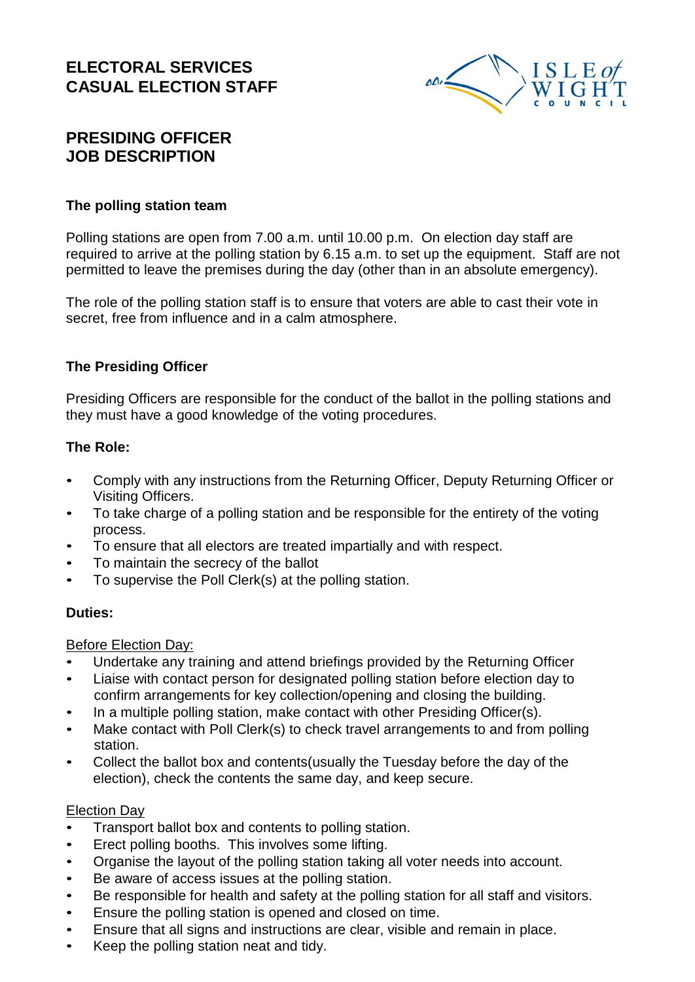### **ELECTORAL SERVICES CASUAL ELECTION STAFF**



# **PRESIDING OFFICER JOB DESCRIPTION**

#### **The polling station team**

Polling stations are open from 7.00 a.m. until 10.00 p.m. On election day staff are required to arrive at the polling station by 6.15 a.m. to set up the equipment. Staff are not permitted to leave the premises during the day (other than in an absolute emergency).

The role of the polling station staff is to ensure that voters are able to cast their vote in secret, free from influence and in a calm atmosphere.

### **The Presiding Officer**

Presiding Officers are responsible for the conduct of the ballot in the polling stations and they must have a good knowledge of the voting procedures.

#### **The Role:**

- Comply with any instructions from the Returning Officer, Deputy Returning Officer or Visiting Officers.
- To take charge of a polling station and be responsible for the entirety of the voting process.
- To ensure that all electors are treated impartially and with respect.
- To maintain the secrecy of the ballot
- To supervise the Poll Clerk(s) at the polling station.

#### **Duties:**

#### Before Election Day:

- Undertake any training and attend briefings provided by the Returning Officer
- Liaise with contact person for designated polling station before election day to confirm arrangements for key collection/opening and closing the building.
- In a multiple polling station, make contact with other Presiding Officer(s).
- Make contact with Poll Clerk(s) to check travel arrangements to and from polling station.
- Collect the ballot box and contents(usually the Tuesday before the day of the election), check the contents the same day, and keep secure.

#### Election Day

- Transport ballot box and contents to polling station.
- Erect polling booths. This involves some lifting.
- Organise the layout of the polling station taking all voter needs into account.
- Be aware of access issues at the polling station.
- Be responsible for health and safety at the polling station for all staff and visitors.
- Ensure the polling station is opened and closed on time.
- Ensure that all signs and instructions are clear, visible and remain in place.
- Keep the polling station neat and tidy.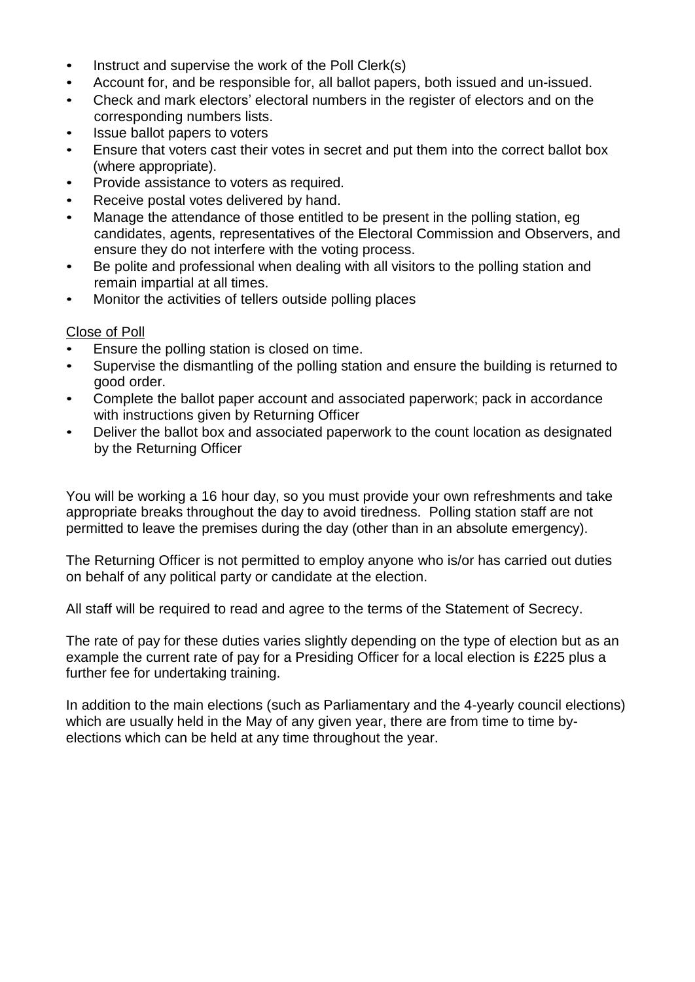- Instruct and supervise the work of the Poll Clerk(s)
- Account for, and be responsible for, all ballot papers, both issued and un-issued.
- Check and mark electors' electoral numbers in the register of electors and on the corresponding numbers lists.
- Issue ballot papers to voters
- Ensure that voters cast their votes in secret and put them into the correct ballot box (where appropriate).
- Provide assistance to voters as required.
- Receive postal votes delivered by hand.
- Manage the attendance of those entitled to be present in the polling station, eg candidates, agents, representatives of the Electoral Commission and Observers, and ensure they do not interfere with the voting process.
- Be polite and professional when dealing with all visitors to the polling station and remain impartial at all times.
- Monitor the activities of tellers outside polling places

### Close of Poll

- Ensure the polling station is closed on time.
- Supervise the dismantling of the polling station and ensure the building is returned to good order.
- Complete the ballot paper account and associated paperwork; pack in accordance with instructions given by Returning Officer
- Deliver the ballot box and associated paperwork to the count location as designated by the Returning Officer

You will be working a 16 hour day, so you must provide your own refreshments and take appropriate breaks throughout the day to avoid tiredness. Polling station staff are not permitted to leave the premises during the day (other than in an absolute emergency).

The Returning Officer is not permitted to employ anyone who is/or has carried out duties on behalf of any political party or candidate at the election.

All staff will be required to read and agree to the terms of the Statement of Secrecy.

The rate of pay for these duties varies slightly depending on the type of election but as an example the current rate of pay for a Presiding Officer for a local election is £225 plus a further fee for undertaking training.

In addition to the main elections (such as Parliamentary and the 4-yearly council elections) which are usually held in the May of any given year, there are from time to time byelections which can be held at any time throughout the year.